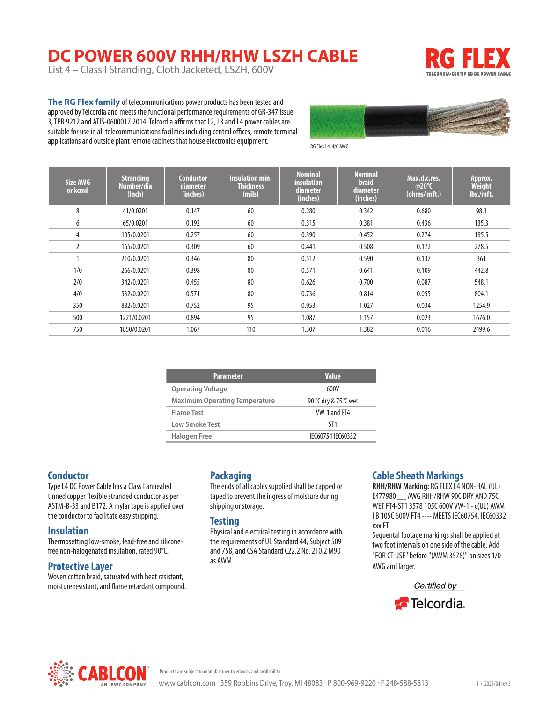# **DC POWER 600V RHH/RHW LSZH CABLE**

List 4 – Class I Stranding, Cloth Jacketed, LSZH, 600V



**The RG Flex family** of telecommunications power products has been tested and approved by Telcordia and meets the functional performance requirements of GR-347 Issue 3, TPR.9212 and ATIS-0600017.2014. Telcordia affirms that L2, L3 and L4 power cables are suitable for use in all telecommunications facilities including central offices, remote terminal applications and outside plant remote cabinets that house electronics equipment.



RG Flex L4, 4/0 AWG

| Size AWG<br>or kcmil | <b>Stranding</b><br>Number/dia<br>(Inch) | <b>Conductor</b><br>diameter<br>(inches) | <b>Insulation min.</b><br><b>Thickness</b><br>(mils) | <b>Nominal</b><br>insulation<br>diameter<br>(inches) | <b>Nominal</b><br><b>braid</b><br>diameter<br>(inches) | Max.d.c.res.<br>@20°C<br>(ohms/mft.) | Approx.<br><b>Weight</b><br>lbs./mft. |
|----------------------|------------------------------------------|------------------------------------------|------------------------------------------------------|------------------------------------------------------|--------------------------------------------------------|--------------------------------------|---------------------------------------|
| 8                    | 41/0.0201                                | 0.147                                    | 60                                                   | 0.280                                                | 0.342                                                  | 0.680                                | 98.1                                  |
| 6                    | 65/0.0201                                | 0.192                                    | 60                                                   | 0.315                                                | 0.381                                                  | 0.436                                | 135.3                                 |
| 4                    | 105/0.0201                               | 0.257                                    | 60                                                   | 0.390                                                | 0.452                                                  | 0.274                                | 195.5                                 |
| $\overline{2}$       | 165/0.0201                               | 0.309                                    | 60                                                   | 0.441                                                | 0.508                                                  | 0.172                                | 278.5                                 |
|                      | 210/0.0201                               | 0.346                                    | 80                                                   | 0.512                                                | 0.590                                                  | 0.137                                | 361                                   |
| 1/0                  | 266/0.0201                               | 0.398                                    | 80                                                   | 0.571                                                | 0.641                                                  | 0.109                                | 442.8                                 |
| 2/0                  | 342/0.0201                               | 0.455                                    | 80                                                   | 0.626                                                | 0.700                                                  | 0.087                                | 548.1                                 |
| 4/0                  | 532/0.0201                               | 0.571                                    | 80                                                   | 0.736                                                | 0.814                                                  | 0.055                                | 804.1                                 |
| 350                  | 882/0.0201                               | 0.752                                    | 95                                                   | 0.953                                                | 1.027                                                  | 0.034                                | 1254.9                                |
| 500                  | 1221/0.0201                              | 0.894                                    | 95                                                   | 1.087                                                | 1.157                                                  | 0.023                                | 1676.0                                |
| 750                  | 1850/0.0201                              | 1.067                                    | 110                                                  | 1.307                                                | 1.382                                                  | 0.016                                | 2499.6                                |

| <b>Parameter</b>                     | <b>Value</b>         |
|--------------------------------------|----------------------|
| <b>Operating Voltage</b>             | 600V                 |
| <b>Maximum Operating Temperature</b> | 90 °C dry & 75°C wet |
| Flame Test                           | VW-1 and FT4         |
| Low Smoke Test                       | ST1                  |
| Halogen Free                         | IEC60754 IEC60332    |

#### **Conductor**

Type L4 DC Power Cable has a Class I annealed tinned copper flexible stranded conductor as per ASTM-B-33 and B172. A mylar tape is applied over the conductor to facilitate easy stripping.

#### **Insulation**

Thermosetting low-smoke, lead-free and siliconefree non-halogenated insulation, rated 90°C.

#### **Protective Layer**

Woven cotton braid, saturated with heat resistant, moisture resistant, and flame retardant compound.

### **Packaging**

The ends of all cables supplied shall be capped or taped to prevent the ingress of moisture during shipping or storage.

#### **Testing**

Physical and electrical testing in accordance with the requirements of UL Standard 44, Subject 509 and 758, and CSA Standard C22.2 No. 210.2 M90 as AWM.

#### **Cable Sheath Markings**

**RHH/RHW Marking:** RG FLEX L4 NON-HAL (UL) E477980 \_\_ AWG RHH/RHW 90C DRY AND 75C WET FT4-ST1 3578 105C 600V VW-1 - c(UL) AWM I B 105C 600V FT4 ---- MEETS IEC60754, IEC60332 xxx FT

Sequental footage markings shall be applied at two foot intervals on one side of the cable. Add "FOR CT USE" before "(AWM 3578)" on sizes 1/0 AWG and larger.





Products are subject to manufacturer tolerances and availability.